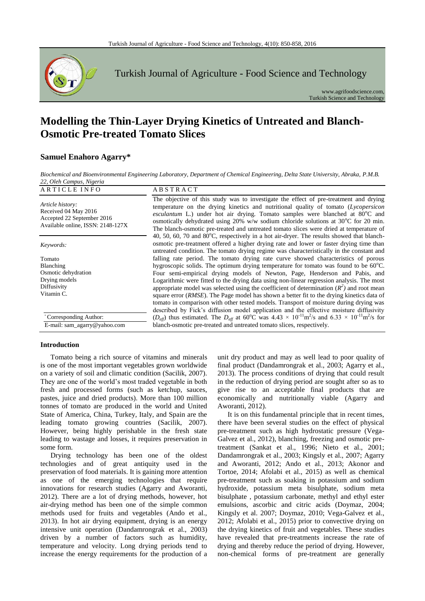

Turkish Journal of Agriculture - Food Science and Technology

www.agrifoodscience.com, Turkish Science and Technology

# **Modelling the Thin-Layer Drying Kinetics of Untreated and Blanch-Osmotic Pre-treated Tomato Slices**

# **Samuel Enahoro Agarry\***

*Biochemical and Bioenvironmental Engineering Laboratory, Department of Chemical Engineering, Delta State University, Abraka, P.M.B. 22, Oleh Campus, Nigeria*

| ARTICLE INFO                                                                                                | <b>ABSTRACT</b>                                                                                                                                                                                                                                                                                                                                                                                                                                                    |
|-------------------------------------------------------------------------------------------------------------|--------------------------------------------------------------------------------------------------------------------------------------------------------------------------------------------------------------------------------------------------------------------------------------------------------------------------------------------------------------------------------------------------------------------------------------------------------------------|
| Article history:<br>Received 04 May 2016<br>Accepted 22 September 2016<br>Available online, ISSN: 2148-127X | The objective of this study was to investigate the effect of pre-treatment and drying<br>temperature on the drying kinetics and nutritional quality of tomato (Lycopersicon<br>esculantum L.) under hot air drying. Tomato samples were blanched at $80^{\circ}$ C and<br>osmotically dehydrated using 20% w/w sodium chloride solutions at 30 $^{\circ}$ C for 20 min.<br>The blanch-osmotic pre-treated and untreated tomato slices were dried at temperature of |
| Keywords:                                                                                                   | 40, 50, 60, 70 and $80^{\circ}$ C, respectively in a hot air-dryer. The results showed that blanch-<br>osmotic pre-treatment offered a higher drying rate and lower or faster drying time than<br>untreated condition. The tomato drying regime was characteristically in the constant and                                                                                                                                                                         |
| Tomato                                                                                                      | falling rate period. The tomato drying rate curve showed characteristics of porous                                                                                                                                                                                                                                                                                                                                                                                 |
| Blanching                                                                                                   | hygroscopic solids. The optimum drying temperature for tomato was found to be $60^{\circ}$ C.                                                                                                                                                                                                                                                                                                                                                                      |
| Osmotic dehydration                                                                                         | Four semi-empirical drying models of Newton, Page, Henderson and Pabis, and                                                                                                                                                                                                                                                                                                                                                                                        |
| Drying models                                                                                               | Logarithmic were fitted to the drying data using non-linear regression analysis. The most                                                                                                                                                                                                                                                                                                                                                                          |
| Diffusivity                                                                                                 | appropriate model was selected using the coefficient of determination $(R^2)$ and root mean                                                                                                                                                                                                                                                                                                                                                                        |
| Vitamin C.                                                                                                  | square error (RMSE). The Page model has shown a better fit to the drying kinetics data of<br>tomato in comparison with other tested models. Transport of moisture during drying was<br>described by Fick's diffusion model application and the effective moisture diffusivity                                                                                                                                                                                      |
| *Corresponding Author:                                                                                      | $(D_{\text{eff}})$ thus estimated. The $D_{\text{eff}}$ at 60°C was 4.43 × 10 <sup>-11</sup> m <sup>2</sup> /s and 6.33 × 10 <sup>-11</sup> m <sup>2</sup> /s for                                                                                                                                                                                                                                                                                                  |
| E-mail: sam_agarry@yahoo.com                                                                                | blanch-osmotic pre-treated and untreated tomato slices, respectively.                                                                                                                                                                                                                                                                                                                                                                                              |

# **Introduction**

Tomato being a rich source of vitamins and minerals is one of the most important vegetables grown worldwide on a variety of soil and climatic condition (Sacilik, 2007). They are one of the world's most traded vegetable in both fresh and processed forms (such as ketchup, sauces, pastes, juice and dried products). More than 100 million tonnes of tomato are produced in the world and United State of America, China, Turkey, Italy, and Spain are the leading tomato growing countries (Sacilik, 2007). However, being highly perishable in the fresh state leading to wastage and losses, it requires preservation in some form.

Drying technology has been one of the oldest technologies and of great antiquity used in the preservation of food materials. It is gaining more attention as one of the emerging technologies that require innovations for research studies (Agarry and Aworanti, 2012). There are a lot of drying methods, however, hot air-drying method has been one of the simple common methods used for fruits and vegetables (Ando et al., 2013). In hot air drying equipment, drying is an energy intensive unit operation (Dandamrongrak et al., 2003) driven by a number of factors such as humidity, temperature and velocity. Long drying periods tend to increase the energy requirements for the production of a unit dry product and may as well lead to poor quality of final product (Dandamrongrak et al., 2003; Agarry et al., 2013). The process conditions of drying that could result in the reduction of drying period are sought after so as to give rise to an acceptable final products that are economically and nutritionally viable (Agarry and Aworanti, 2012).

It is on this fundamental principle that in recent times, there have been several studies on the effect of physical pre-treatment such as high hydrostatic pressure (Vega-Galvez et al., 2012), blanching, freezing and osmotic pretreatment (Sankat et al., 1996; Nieto et al., 2001; Dandamrongrak et al., 2003; Kingsly et al., 2007; Agarry and Aworanti, 2012; Ando et al., 2013; Akonor and Tortoe, 2014; Afolabi et al., 2015) as well as chemical pre-treatment such as soaking in potassium and sodium hydroxide, potassium meta bisulphate, sodium meta bisulphate , potassium carbonate, methyl and ethyl ester emulsions, ascorbic and citric acids (Doymaz, 2004; Kingsly et al. 2007; Doymaz, 2010; Vega-Galvez et al., 2012; Afolabi et al., 2015) prior to convective drying on the drying kinetics of fruit and vegetables. These studies have revealed that pre-treatments increase the rate of drying and thereby reduce the period of drying. However, non-chemical forms of pre-treatment are generally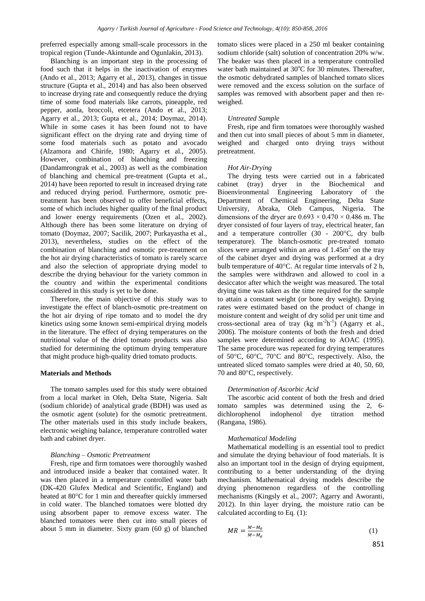preferred especially among small-scale processors in the tropical region (Tunde-Akintunde and Ogunlakin, 2013).

Blanching is an important step in the processing of food such that it helps in the inactivation of enzymes (Ando et al., 2013; Agarry et al., 2013), changes in tissue structure (Gupta et al., 2014) and has also been observed to increase drying rate and consequently reduce the drying time of some food materials like carrots, pineapple, red pepper, aonla, broccoli, etcetera (Ando et al., 2013; Agarry et al., 2013; Gupta et al., 2014; Doymaz, 2014). While in some cases it has been found not to have significant effect on the drying rate and drying time of some food materials such as potato and avocado (Alzamora and Chirife, 1980; Agarry et al., 2005). However, combination of blanching and freezing (Dandamrongrak et al., 2003) as well as the combination of blanching and chemical pre-treatment (Gupta et al., 2014) have been reported to result in increased drying rate and reduced drying period. Furthermore, osmotic pretreatment has been observed to offer beneficial effects, some of which includes higher quality of the final product and lower energy requirements (Ozen et al., 2002). Although there has been some literature on drying of tomato (Doymaz, 2007; Sacilik, 2007; Purkayastha et al., 2013), nevertheless, studies on the effect of the combination of blanching and osmotic pre-treatment on the hot air drying characteristics of tomato is rarely scarce and also the selection of appropriate drying model to describe the drying behaviour for the variety common in the country and within the experimental conditions considered in this study is yet to be done.

Therefore, the main objective of this study was to investigate the effect of blanch-osmotic pre-treatment on the hot air drying of ripe tomato and to model the dry kinetics using some known semi-empirical drying models in the literature. The effect of drying temperatures on the nutritional value of the dried tomato products was also studied for determining the optimum drying temperature that might produce high-quality dried tomato products.

#### **Materials and Methods**

The tomato samples used for this study were obtained from a local market in Oleh, Delta State, Nigeria. Salt (sodium chloride) of analytical grade (BDH) was used as the osmotic agent (solute) for the osmotic pretreatment. The other materials used in this study include beakers, electronic weighing balance, temperature controlled water bath and cabinet dryer.

#### *Blanching – Osmotic Pretreatment*

Fresh, ripe and firm tomatoes were thoroughly washed and introduced inside a beaker that contained water. It was then placed in a temperature controlled water bath (DK-420 Glufex Medical and Scientific, England) and heated at 80°C for 1 min and thereafter quickly immersed in cold water. The blanched tomatoes were blotted dry using absorbent paper to remove excess water. The blanched tomatoes were then cut into small pieces of about 5 mm in diameter. Sixty gram (60 g) of blanched tomato slices were placed in a 250 ml beaker containing sodium chloride (salt) solution of concentration 20% w/w. The beaker was then placed in a temperature controlled water bath maintained at  $30^{\circ}$ C for 30 minutes. Thereafter, the osmotic dehydrated samples of blanched tomato slices were removed and the excess solution on the surface of samples was removed with absorbent paper and then reweighed.

#### *Untreated Sample*

Fresh, ripe and firm tomatoes were thoroughly washed and then cut into small pieces of about 5 mm in diameter, weighed and charged onto drying trays without pretreatment.

#### *Hot Air-Drying*

The drying tests were carried out in a fabricated cabinet (tray) dryer in the Biochemical and Bioenvironmental Engineering Laboratory of the Department of Chemical Engineering, Delta State University, Abraka, Oleh Campus, Nigeria. The dimensions of the dryer are  $0.693 \times 0.470 \times 0.486$  m. The dryer consisted of four layers of tray, electrical heater, fan and a temperature controller (30 - 200°C, dry bulb temperature). The blanch-osmotic pre-treated tomato slices were arranged within an area of  $1.45 \text{m}^2$  on the tray of the cabinet dryer and drying was performed at a dry bulb temperature of 40°C. At regular time intervals of 2 h, the samples were withdrawn and allowed to cool in a desiccator after which the weight was measured. The total drying time was taken as the time required for the sample to attain a constant weight (or bone dry weight). Drying rates were estimated based on the product of change in moisture content and weight of dry solid per unit time and cross-sectional area of tray  $(kg \ m^2 h^{-1})$  (Agarry et al., 2006). The moisture contents of both the fresh and dried samples were determined according to AOAC (1995). The same procedure was repeated for drying temperatures of 50°C, 60°C, 70°C and 80°C, respectively. Also, the untreated sliced tomato samples were dried at 40, 50, 60, 70 and 80°C, respectively.

#### *Determination of Ascorbic Acid*

The ascorbic acid content of both the fresh and dried tomato samples was determined using the 2, 6 dichlorophenol indophenol dye titration method (Rangana, 1986).

#### *Mathematical Modeling*

Mathematical modelling is an essential tool to predict and simulate the drying behaviour of food materials. It is also an important tool in the design of drying equipment, contributing to a better understanding of the drying mechanism. Mathematical drying models describe the drying phenomenon regardless of the controlling mechanisms (Kingsly et al., 2007; Agarry and Aworanti, 2012). In thin layer drying, the moisture ratio can be calculated according to Eq. (1):

$$
MR = \frac{M - M_e}{M - M_e} \tag{1}
$$

851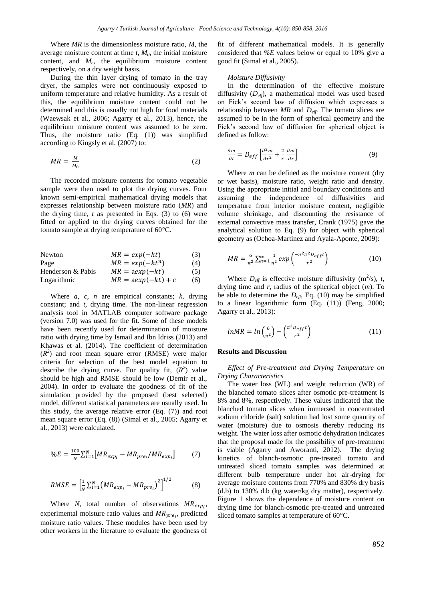Where *MR* is the dimensionless moisture ratio, *M*, the average moisture content at time *t*, *M0*, the initial moisture content, and  $M_e$ , the equilibrium moisture content respectively, on a dry weight basis.

During the thin layer drying of tomato in the tray dryer, the samples were not continuously exposed to uniform temperature and relative humidity. As a result of this, the equilibrium moisture content could not be determined and this is usually not high for food materials (Waewsak et al., 2006; Agarry et al., 2013), hence, the equilibrium moisture content was assumed to be zero. Thus, the moisture ratio (Eq. (1)) was simplified according to Kingsly et al*.* (2007) to:

$$
MR = \frac{M}{M_0} \tag{2}
$$

The recorded moisture contents for tomato vegetable sample were then used to plot the drying curves. Four known semi-empirical mathematical drying models that expresses relationship between moisture ratio (*MR*) and the drying time,  $t$  as presented in Eqs.  $(3)$  to  $(6)$  were fitted or applied to the drying curves obtained for the tomato sample at drying temperature of 60°C.

| Newton            | $MR = exp(-kt)$      | (3) |
|-------------------|----------------------|-----|
| Page              | $MR = exp(-kt^n)$    | (4) |
| Henderson & Pabis | $MR = aexp(-kt)$     | (5) |
| Logarithmic       | $MR = aexp(-kt) + c$ | (6) |

Where *a*, *c*, *n* are empirical constants; *k*, drying constant; and *t*, drying time. The non-linear regression analysis tool in MATLAB computer software package (version 7.0) was used for the fit. Some of these models have been recently used for determination of moisture ratio with drying time by Ismail and Ibn Idriss (2013) and Khawas et al. (2014). The coefficient of determination  $(R<sup>2</sup>)$  and root mean square error (RMSE) were major criteria for selection of the best model equation to describe the drying curve. For quality fit,  $(R^2)$  value should be high and RMSE should be low (Demir et al., 2004). In order to evaluate the goodness of fit of the simulation provided by the proposed (best selected) model, different statistical parameters are usually used. In this study, the average relative error (Eq. (7)) and root mean square error (Eq. (8)) (Simal et al., 2005; Agarry et al., 2013) were calculated.

$$
\%E = \frac{100}{N} \sum_{i=1}^{N} \left[ MR_{exp_i} - MR_{pre_i} / MR_{exp_i} \right] \tag{7}
$$

$$
RMSE = \left[\frac{1}{N} \sum_{i=1}^{N} (MR_{exp_i} - MR_{pre_i})^2\right]^{1/2}
$$
 (8)

Where  $N$ , total number of observations  $MR_{exp<sub>i</sub>}$ , experimental moisture ratio values and  $MR_{pre_i}$ , predicted moisture ratio values. These modules have been used by other workers in the literature to evaluate the goodness of

fit of different mathematical models. It is generally considered that *%E* values below or equal to 10% give a good fit (Simal et al., 2005).

#### *Moisture Diffusivity*

In the determination of the effective moisture diffusivity (*Deff*), a mathematical model was used based on Fick's second law of diffusion which expresses a relationship between *MR* and *Deff*. The tomato slices are assumed to be in the form of spherical geometry and the Fick's second law of diffusion for spherical object is defined as follow:

$$
\frac{\partial m}{\partial t} = D_{eff} \left[ \frac{\partial^2 m}{\partial r^2} + \frac{2}{r} \frac{\partial m}{\partial r} \right]
$$
(9)

Where *m* can be defined as the moisture content (dry or wet basis), moisture ratio, weight ratio and density. Using the appropriate initial and boundary conditions and assuming the independence of diffusivities and temperature from interior moisture content, negligible volume shrinkage, and discounting the resistance of external convective mass transfer, Crank (1975) gave the analytical solution to Eq. (9) for object with spherical geometry as (Ochoa-Martinez and Ayala-Aponte, 2009):

$$
MR = \frac{6}{\pi^2} \sum_{n=1}^{\infty} \frac{1}{n^2} exp\left(\frac{-n^2 \pi^2 D_{eff} t}{r^2}\right)
$$
 (10)

Where  $D_{\text{eff}}$  is effective moisture diffusivity (m<sup>2</sup>/s), *t*, drying time and *r*, radius of the spherical object (*m*). To be able to determine the *Deff*, Eq. (10) may be simplified to a linear logarithmic form (Eq. (11)) (Feng, 2000; Agarry et al., 2013):

$$
lnMR = ln\left(\frac{6}{\pi^2}\right) - \left(\frac{\pi^2 D_{eff} t}{r^2}\right) \tag{11}
$$

#### **Results and Discussion**

*Effect of Pre-treatment and Drying Temperature on Drying Characteristics*

The water loss (WL) and weight reduction (WR) of the blanched tomato slices after osmotic pre-treatment is 8% and 8%, respectively. These values indicated that the blanched tomato slices when immersed in concentrated sodium chloride (salt) solution had lost some quantity of water (moisture) due to osmosis thereby reducing its weight. The water loss after osmotic dehydration indicates that the proposal made for the possibility of pre-treatment is viable (Agarry and Aworanti, 2012). The drying kinetics of blanch-osmotic pre-treated tomato and untreated sliced tomato samples was determined at different bulb temperature under hot air-drying for average moisture contents from 770% and 830% dry basis (d.b) to 130% d.b (kg water/kg dry matter), respectively. Figure 1 shows the dependence of moisture content on drying time for blanch-osmotic pre-treated and untreated sliced tomato samples at temperature of 60°C.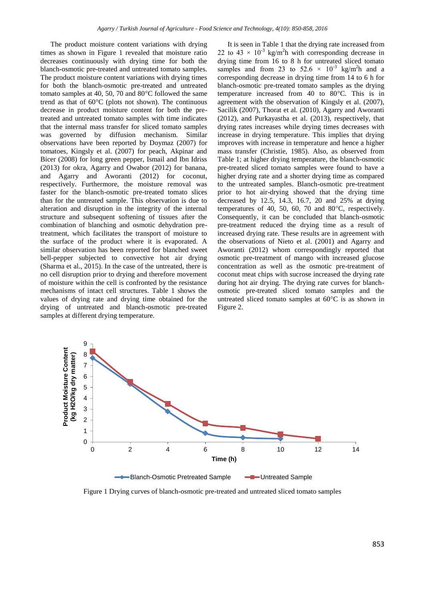The product moisture content variations with drying times as shown in Figure 1 revealed that moisture ratio decreases continuously with drying time for both the blanch-osmotic pre-treated and untreated tomato samples. The product moisture content variations with drying times for both the blanch-osmotic pre-treated and untreated tomato samples at 40, 50, 70 and 80°C followed the same trend as that of 60°C (plots not shown). The continuous decrease in product moisture content for both the pretreated and untreated tomato samples with time indicates that the internal mass transfer for sliced tomato samples was governed by diffusion mechanism. Similar observations have been reported by Doymaz (2007) for tomatoes, Kingsly et al. (2007) for peach, Akpinar and Bicer (2008) for long green pepper, Ismail and Ibn Idriss (2013) for okra, Agarry and Owabor (2012) for banana, and Agarry and Aworanti (2012) for coconut, respectively. Furthermore, the moisture removal was faster for the blanch-osmotic pre-treated tomato slices than for the untreated sample. This observation is due to alteration and disruption in the integrity of the internal structure and subsequent softening of tissues after the combination of blanching and osmotic dehydration pretreatment, which facilitates the transport of moisture to the surface of the product where it is evaporated. A similar observation has been reported for blanched sweet bell-pepper subjected to convective hot air drying (Sharma et al., 2015). In the case of the untreated, there is no cell disruption prior to drying and therefore movement of moisture within the cell is confronted by the resistance mechanisms of intact cell structures. Table 1 shows the values of drying rate and drying time obtained for the drying of untreated and blanch-osmotic pre-treated samples at different drying temperature.

It is seen in Table 1 that the drying rate increased from 22 to  $43 \times 10^{-3}$  kg/m<sup>2</sup>h with corresponding decrease in drying time from 16 to 8 h for untreated sliced tomato samples and from 23 to  $52.6 \times 10^{-3}$  kg/m<sup>2</sup>h and a corresponding decrease in drying time from 14 to 6 h for blanch-osmotic pre-treated tomato samples as the drying temperature increased from 40 to 80°C. This is in agreement with the observation of Kingsly et al. (2007), Sacilik (2007), Thorat et al. (2010), Agarry and Aworanti (2012), and Purkayastha et al. (2013), respectively, that drying rates increases while drying times decreases with increase in drying temperature. This implies that drying improves with increase in temperature and hence a higher mass transfer (Christie, 1985). Also, as observed from Table 1; at higher drying temperature, the blanch-osmotic pre-treated sliced tomato samples were found to have a higher drying rate and a shorter drying time as compared to the untreated samples. Blanch-osmotic pre-treatment prior to hot air-drying showed that the drying time decreased by 12.5, 14.3, 16.7, 20 and 25% at drying temperatures of 40, 50, 60, 70 and 80°C, respectively. Consequently, it can be concluded that blanch-osmotic pre-treatment reduced the drying time as a result of increased drying rate. These results are in agreement with the observations of Nieto et al. (2001) and Agarry and Aworanti (2012) whom correspondingly reported that osmotic pre-treatment of mango with increased glucose concentration as well as the osmotic pre-treatment of coconut meat chips with sucrose increased the drying rate during hot air drying. The drying rate curves for blanchosmotic pre-treated sliced tomato samples and the untreated sliced tomato samples at 60°C is as shown in Figure 2.



Figure 1 Drying curves of blanch-osmotic pre-treated and untreated sliced tomato samples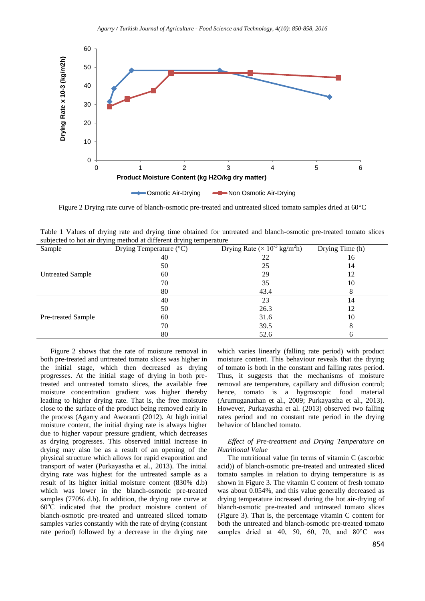

Figure 2 Drying rate curve of blanch-osmotic pre-treated and untreated sliced tomato samples dried at 60°C

| Table 1 Values of drying rate and drying time obtained for untreated and blanch-osmotic pre-treated tomato slices |  |  |  |  |  |
|-------------------------------------------------------------------------------------------------------------------|--|--|--|--|--|
| subjected to hot air drying method at different drying temperature                                                |  |  |  |  |  |

| Sample                  | Drying Temperature (°C) | Drying Rate ( $\times$ 10 <sup>-3</sup> kg/m <sup>2</sup> h) | Drying Time (h) |
|-------------------------|-------------------------|--------------------------------------------------------------|-----------------|
| <b>Untreated Sample</b> | 40                      | 22                                                           | 16              |
|                         | 50                      | 25                                                           | 14              |
|                         | 60                      | 29                                                           | 12              |
|                         | 70                      | 35                                                           | 10              |
|                         | 80                      | 43.4                                                         | 8               |
| Pre-treated Sample      | 40                      | 23                                                           | 14              |
|                         | 50                      | 26.3                                                         | 12              |
|                         | 60                      | 31.6                                                         | 10              |
|                         | 70                      | 39.5                                                         | 8               |
|                         | 80                      | 52.6                                                         |                 |

Figure 2 shows that the rate of moisture removal in both pre-treated and untreated tomato slices was higher in the initial stage, which then decreased as drying progresses. At the initial stage of drying in both pretreated and untreated tomato slices, the available free moisture concentration gradient was higher thereby leading to higher drying rate. That is, the free moisture close to the surface of the product being removed early in the process (Agarry and Aworanti (2012). At high initial moisture content, the initial drying rate is always higher due to higher vapour pressure gradient, which decreases as drying progresses. This observed initial increase in drying may also be as a result of an opening of the physical structure which allows for rapid evaporation and transport of water (Purkayastha et al., 2013). The initial drying rate was highest for the untreated sample as a result of its higher initial moisture content (830% d.b) which was lower in the blanch-osmotic pre-treated samples (770% d.b). In addition, the drying rate curve at  $60^{\circ}$ C indicated that the product moisture content of blanch-osmotic pre-treated and untreated sliced tomato samples varies constantly with the rate of drying (constant rate period) followed by a decrease in the drying rate

which varies linearly (falling rate period) with product moisture content. This behaviour reveals that the drying of tomato is both in the constant and falling rates period. Thus, it suggests that the mechanisms of moisture removal are temperature, capillary and diffusion control; hence, tomato is a hygroscopic food material (Arumuganathan et al., 2009; Purkayastha et al., 2013). However, Purkayastha et al. (2013) observed two falling rates period and no constant rate period in the drying behavior of blanched tomato.

# *Effect of Pre-treatment and Drying Temperature on Nutritional Value*

The nutritional value (in terms of vitamin C (ascorbic acid)) of blanch-osmotic pre-treated and untreated sliced tomato samples in relation to drying temperature is as shown in Figure 3. The vitamin C content of fresh tomato was about 0.054%, and this value generally decreased as drying temperature increased during the hot air-drying of blanch-osmotic pre-treated and untreated tomato slices (Figure 3). That is, the percentage vitamin C content for both the untreated and blanch-osmotic pre-treated tomato samples dried at 40, 50, 60, 70, and  $80^{\circ}$ C was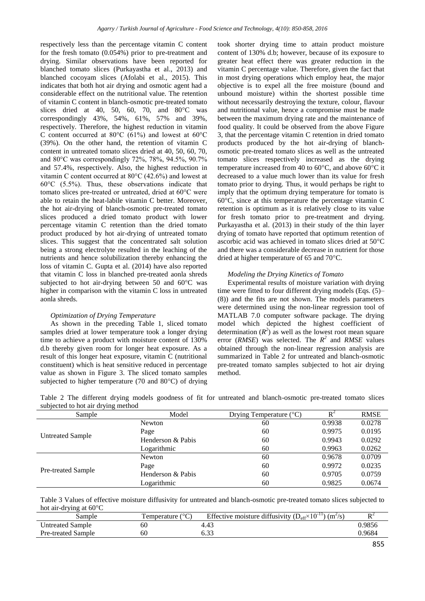respectively less than the percentage vitamin C content for the fresh tomato (0.054%) prior to pre-treatment and drying. Similar observations have been reported for blanched tomato slices (Purkayastha et al., 2013) and blanched cocoyam slices (Afolabi et al., 2015). This indicates that both hot air drying and osmotic agent had a considerable effect on the nutritional value. The retention of vitamin C content in blanch-osmotic pre-treated tomato slices dried at 40, 50, 60, 70, and  $80^{\circ}$ C was correspondingly 43%, 54%, 61%, 57% and 39%, respectively. Therefore, the highest reduction in vitamin C content occurred at 80°C (61%) and lowest at 60°C (39%). On the other hand, the retention of vitamin C content in untreated tomato slices dried at 40, 50, 60, 70, and 80°C was correspondingly 72%, 78%, 94.5%, 90.7% and 57.4%, respectively. Also, the highest reduction in vitamin C content occurred at 80°C (42.6%) and lowest at 60°C (5.5%). Thus, these observations indicate that tomato slices pre-treated or untreated, dried at 60°C were able to retain the heat-labile vitamin C better. Moreover, the hot air-drying of blanch-osmotic pre-treated tomato slices produced a dried tomato product with lower percentage vitamin C retention than the dried tomato product produced by hot air-drying of untreated tomato slices. This suggest that the concentrated salt solution being a strong electrolyte resulted in the leaching of the nutrients and hence solubilization thereby enhancing the loss of vitamin C. Gupta et al. (2014) have also reported that vitamin C loss in blanched pre-treated aonla shreds subjected to hot air-drying between 50 and 60°C was higher in comparison with the vitamin C loss in untreated aonla shreds.

# *Optimization of Drying Temperature*

As shown in the preceding Table 1, sliced tomato samples dried at lower temperature took a longer drying time to achieve a product with moisture content of 130% d.b thereby given room for longer heat exposure. As a result of this longer heat exposure, vitamin C (nutritional constituent) which is heat sensitive reduced in percentage value as shown in Figure 3. The sliced tomato samples subjected to higher temperature (70 and 80°C) of drying

took shorter drying time to attain product moisture content of 130% d.b; however, because of its exposure to greater heat effect there was greater reduction in the vitamin C percentage value. Therefore, given the fact that in most drying operations which employ heat, the major objective is to expel all the free moisture (bound and unbound moisture) within the shortest possible time without necessarily destroying the texture, colour, flavour and nutritional value, hence a compromise must be made between the maximum drying rate and the maintenance of food quality. It could be observed from the above Figure 3, that the percentage vitamin C retention in dried tomato products produced by the hot air-drying of blanchosmotic pre-treated tomato slices as well as the untreated tomato slices respectively increased as the drying temperature increased from 40 to 60°C, and above 60°C it decreased to a value much lower than its value for fresh tomato prior to drying. Thus, it would perhaps be right to imply that the optimum drying temperature for tomato is 60°C, since at this temperature the percentage vitamin C retention is optimum as it is relatively close to its value for fresh tomato prior to pre-treatment and drying. Purkayastha et al. (2013) in their study of the thin layer drying of tomato have reported that optimum retention of ascorbic acid was achieved in tomato slices dried at 50°C and there was a considerable decrease in nutrient for those dried at higher temperature of 65 and 70°C.

# *Modeling the Drying Kinetics of Tomato*

Experimental results of moisture variation with drying time were fitted to four different drying models (Eqs. (5)– (8)) and the fits are not shown. The models parameters were determined using the non-linear regression tool of MATLAB 7.0 computer software package. The drying model which depicted the highest coefficient of determination  $(R^2)$  as well as the lowest root mean square error (*RMSE*) was selected. The  $R^2$  and *RMSE* values obtained through the non-linear regression analysis are summarized in Table 2 for untreated and blanch-osmotic pre-treated tomato samples subjected to hot air drying method.

|                                    |  |  |  |  | Table 2 The different drying models goodness of fit for untreated and blanch-osmotic pre-treated tomato slices |  |  |
|------------------------------------|--|--|--|--|----------------------------------------------------------------------------------------------------------------|--|--|
| subjected to hot air drying method |  |  |  |  |                                                                                                                |  |  |

| Sample                  | Model             | Drying Temperature $({}^{\circ}C)$ | $R^2$  | <b>RMSE</b> |
|-------------------------|-------------------|------------------------------------|--------|-------------|
|                         | Newton            | 60                                 | 0.9938 | 0.0278      |
|                         | Page              | 60                                 | 0.9975 | 0.0195      |
| <b>Untreated Sample</b> | Henderson & Pabis | 60                                 | 0.9943 | 0.0292      |
|                         | Logarithmic       | 60                                 | 0.9963 | 0.0262      |
|                         | Newton            | 60                                 | 0.9678 | 0.0709      |
|                         | Page              | 60                                 | 0.9972 | 0.0235      |
| Pre-treated Sample      | Henderson & Pabis | 60                                 | 0.9705 | 0.0759      |
|                         | Logarithmic       | 60                                 | 0.9825 | 0.0674      |

Table 3 Values of effective moisture diffusivity for untreated and blanch-osmotic pre-treated tomato slices subjected to hot air-drying at 60°C

| Sample                    | l'emperature ( | Effective moisture diffusivity $(D_{\text{eff}} \times 10^{-11})$<br>$(m^2/s)$ | $\mathbf{L}$ |
|---------------------------|----------------|--------------------------------------------------------------------------------|--------------|
| <b>Untreated Sample</b>   | 60             | 4.4.                                                                           | ).9856       |
| <b>Pre-treated Sample</b> | 60             | ບ.ບມ                                                                           | ).9684       |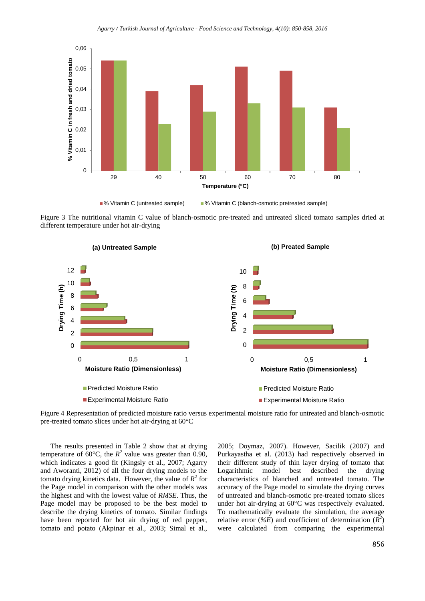

Figure 3 The nutritional vitamin C value of blanch-osmotic pre-treated and untreated sliced tomato samples dried at



Figure 4 Representation of predicted moisture ratio versus experimental moisture ratio for untreated and blanch-osmotic pre-treated tomato slices under hot air-drying at 60°C

The results presented in Table 2 show that at drying temperature of  $60^{\circ}$ C, the  $R^2$  value was greater than 0.90, which indicates a good fit (Kingsly et al., 2007; Agarry and Aworanti, 2012) of all the four drying models to the tomato drying kinetics data. However, the value of  $R^2$  for the Page model in comparison with the other models was the highest and with the lowest value of *RMSE*. Thus, the Page model may be proposed to be the best model to describe the drying kinetics of tomato. Similar findings have been reported for hot air drying of red pepper, tomato and potato (Akpinar et al., 2003; Simal et al.,

different temperature under hot air-drying

2005; Doymaz, 2007). However, Sacilik (2007) and Purkayastha et al. (2013) had respectively observed in their different study of thin layer drying of tomato that Logarithmic model best described the drying characteristics of blanched and untreated tomato. The accuracy of the Page model to simulate the drying curves of untreated and blanch-osmotic pre-treated tomato slices under hot air-drying at 60°C was respectively evaluated. To mathematically evaluate the simulation, the average relative error (%E) and coefficient of determination  $(R^2)$ were calculated from comparing the experimental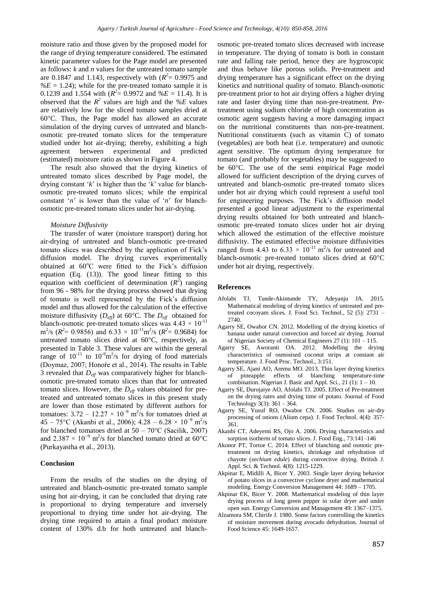moisture ratio and those given by the proposed model for the range of drying temperature considered. The estimated kinetic parameter values for the Page model are presented as follows: *k* and *n* values for the untreated tomato sample are 0.1847 and 1.143, respectively with  $(R^2 = 0.9975$  and  $\%E = 1.24$ ; while for the pre-treated tomato sample it is 0.1239 and 1.554 with  $(R^2 = 0.9972$  and  $\%E = 11.4$ ). It is observed that the  $R^2$  values are high and the  $\%E$  values are relatively low for the sliced tomato samples dried at 60°C. Thus, the Page model has allowed an accurate simulation of the drying curves of untreated and blanchosmotic pre-treated tomato slices for the temperature studied under hot air-drying; thereby, exhibiting a high agreement between experimental and predicted (estimated) moisture ratio as shown in Figure 4.

The result also showed that the drying kinetics of untreated tomato slices described by Page model, the drying constant '*k*' is higher than the '*k*' value for blanchosmotic pre-treated tomato slices; while the empirical constant '*n*' is lower than the value of '*n*' for blanchosmotic pre-treated tomato slices under hot air-drying.

#### *Moisture Diffusivity*

The transfer of water (moisture transport) during hot air-drying of untreated and blanch-osmotic pre-treated tomato slices was described by the application of Fick's diffusion model. The drying curves experimentally obtained at  $60^{\circ}$ C were fitted to the Fick's diffusion equation (Eq. (13)). The good linear fitting to this equation with coefficient of determination  $(R^2)$  ranging from 96 - 98% for the drying process showed that drying of tomato is well represented by the Fick's diffusion model and thus allowed for the calculation of the effective moisture diffusivity  $(D_{\text{eff}})$  at 60°C. The  $D_{\text{eff}}$  obtained for blanch-osmotic pre-treated tomato slices was  $4.43 \times 10^{-11}$  $m^2$ /s ( $R^2$  = 0.9856) and 6.33 × 10<sup>-11</sup>m<sup>2</sup>/s ( $R^2$  = 0.9684) for untreated tomato slices dried at 60°C, respectively, as presented in Table 3. These values are within the general range of  $10^{-11}$  to  $10^{-9}$ m<sup>2</sup>/s for drying of food materials (Doymaz, 2007; Honoŕe et al., 2014). The results in Table 3 revealed that *Deff* was comparatively higher for blanchosmotic pre-treated tomato slices than that for untreated tomato slices. However, the *Deff* values obtained for pretreated and untreated tomato slices in this present study are lower than those estimated by different authors for tomatoes:  $3.72 - 12.27 \times 10^{-9}$  m<sup>2</sup>/s for tomatoes dried at  $45 - 75$ °C (Akanbi et al., 2006);  $4.28 - 6.28 \times 10^{-9}$  m<sup>2</sup>/s for blanched tomatoes dried at  $50 - 70^{\circ}$ C (Sacilik, 2007) and 2.387  $\times$  10<sup>-9</sup> m<sup>2</sup>/s for blanched tomato dried at 60°C (Purkayastha et al., 2013).

#### **Conclusion**

From the results of the studies on the drying of untreated and blanch-osmotic pre-treated tomato sample using hot air-drying, it can be concluded that drying rate is proportional to drying temperature and inversely proportional to drying time under hot air-drying. The drying time required to attain a final product moisture content of 130% d.b for both untreated and blanch-

osmotic pre-treated tomato slices decreased with increase in temperature. The drying of tomato is both in constant rate and falling rate period, hence they are hygroscopic and thus behave like porous solids. Pre-treatment and drying temperature has a significant effect on the drying kinetics and nutritional quality of tomato. Blanch-osmotic pre-treatment prior to hot air drying offers a higher drying rate and faster drying time than non-pre-treatment. Pretreatment using sodium chloride of high concentration as osmotic agent suggests having a more damaging impact on the nutritional constituents than non-pre-treatment. Nutritional constituents (such as vitamin C) of tomato (vegetables) are both heat (i.e. temperature) and osmotic agent sensitive. The optimum drying temperature for tomato (and probably for vegetables) may be suggested to be 60°C. The use of the semi empirical Page model allowed for sufficient description of the drying curves of untreated and blanch-osmotic pre-treated tomato slices under hot air drying which could represent a useful tool for engineering purposes. The Fick's diffusion model presented a good linear adjustment to the experimental drying results obtained for both untreated and blanchosmotic pre-treated tomato slices under hot air drying which allowed the estimation of the effective moisture diffusivity. The estimated effective moisture diffusivities ranged from 4.43 to 6.33  $\times$  10<sup>-11</sup> m<sup>2</sup>/s for untreated and blanch-osmotic pre-treated tomato slices dried at 60°C under hot air drying, respectively.

### **References**

- Afolabi TJ, Tunde-Akintunde TY, Adeyanju JA. 2015. Mathematical modeling of drying kinetics of untreated and pretreated cocoyam slices. J. Food Sci. Technol., 52 (5): 2731 – 2740
- Agarry SE, Owabor CN. 2012. Modelling of the drying kinetics of banana under natural convection and forced air drying. Journal of Nigerian Society of Chemical Engineers 27 (1): 101 – 115.
- Agarry SE, Aworanti OA. 2012. Modelling the drying characteristics of osmosised coconut strips at constant air temperature. J. Food Proc. Technol.*,* 3:151.
- Agarry SE, Ajani AO, Aremu MO. 2013. Thin layer drying kinetics of pineapple: effects of blanching temperature-time combination. Nigerian J. Basic and Appl. Sci.,  $21$  (1):  $1 - 10$ .
- Agarry SE, Durojaiye AO, Afolabi TJ. 2005. Effect of Pre-treatment on the drying rates and drying time of potato. Journal of Food Technology 3(3): 361 – 364.
- Agarry SE, Yusuf RO, Owabor CN. 2006. Studies on air-dry processing of onions (Alium cepa). J. Food Technol. 4(4): 357- 361.
- Akanbi CT, Adeyemi RS, Ojo A. 2006. Drying characteristics and sorption isotherm of tomato slices. J. Food Eng., 73:141–146
- Akonor PT, Tortoe C. 2014. Effect of blanching and osmotic pretreatment on drying kinetics, shrinkage and rehydration of chayote (*sechium edule*) during convective drying. British J. Appl. Sci. & Technol. 4(8): 1215-1229.
- Akpinar E, Midilli A, Bicer Y. 2003. Single layer drying behavior of potato slices in a convective cyclone dryer and mathematical modeling. Energy Conversion Management 44: 1689 – 1705.
- Akpinar EK, Bicer Y. 2008. Mathematical modeling of thin layer drying process of long green pepper in solar dryer and under open sun. Energy Conversion and Management 49: 1367–1375.
- Alzamora SM, Chirife J. 1980. Some factors controlling the kinetics of moisture movement during avocado dehydration. Journal of Food Science 45: 1649-1657.